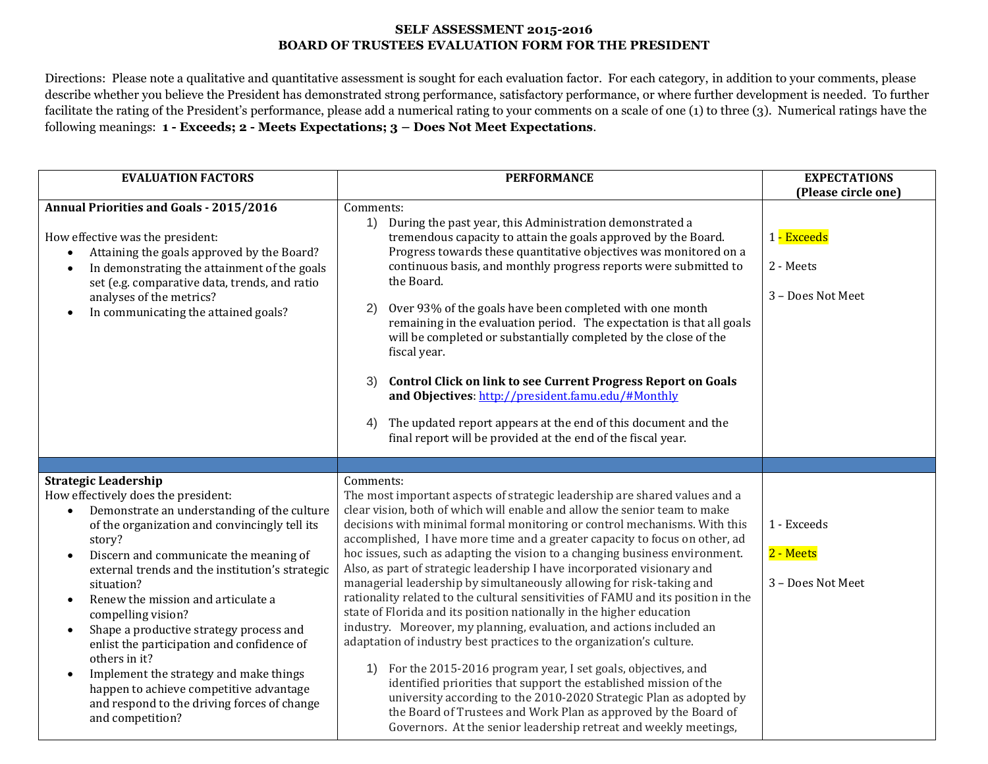## **SELF ASSESSMENT 2015-2016 BOARD OF TRUSTEES EVALUATION FORM FOR THE PRESIDENT**

Directions: Please note a qualitative and quantitative assessment is sought for each evaluation factor. For each category, in addition to your comments, please describe whether you believe the President has demonstrated strong performance, satisfactory performance, or where further development is needed. To further facilitate the rating of the President's performance, please add a numerical rating to your comments on a scale of one (1) to three (3). Numerical ratings have the following meanings: **1 - Exceeds; 2 - Meets Expectations; 3 – Does Not Meet Expectations**.

| <b>EVALUATION FACTORS</b>                                                                                                                                                                                                                                                                                                                                                                                                                                                                                                                                                                                                                                                 | <b>PERFORMANCE</b>                                                                                                                                                                                                                                                                                                                                                                                                                                                                                                                                                                                                                                                                                                                                                                                                                                                                                                                                                                                                                                                                                                                                                                                                                   | <b>EXPECTATIONS</b>                           |
|---------------------------------------------------------------------------------------------------------------------------------------------------------------------------------------------------------------------------------------------------------------------------------------------------------------------------------------------------------------------------------------------------------------------------------------------------------------------------------------------------------------------------------------------------------------------------------------------------------------------------------------------------------------------------|--------------------------------------------------------------------------------------------------------------------------------------------------------------------------------------------------------------------------------------------------------------------------------------------------------------------------------------------------------------------------------------------------------------------------------------------------------------------------------------------------------------------------------------------------------------------------------------------------------------------------------------------------------------------------------------------------------------------------------------------------------------------------------------------------------------------------------------------------------------------------------------------------------------------------------------------------------------------------------------------------------------------------------------------------------------------------------------------------------------------------------------------------------------------------------------------------------------------------------------|-----------------------------------------------|
|                                                                                                                                                                                                                                                                                                                                                                                                                                                                                                                                                                                                                                                                           |                                                                                                                                                                                                                                                                                                                                                                                                                                                                                                                                                                                                                                                                                                                                                                                                                                                                                                                                                                                                                                                                                                                                                                                                                                      | (Please circle one)                           |
| <b>Annual Priorities and Goals - 2015/2016</b><br>How effective was the president:<br>Attaining the goals approved by the Board?<br>$\bullet$<br>In demonstrating the attainment of the goals<br>$\bullet$<br>set (e.g. comparative data, trends, and ratio<br>analyses of the metrics?<br>In communicating the attained goals?<br>$\bullet$                                                                                                                                                                                                                                                                                                                              | Comments:<br>1) During the past year, this Administration demonstrated a<br>tremendous capacity to attain the goals approved by the Board.<br>Progress towards these quantitative objectives was monitored on a<br>continuous basis, and monthly progress reports were submitted to<br>the Board.<br>Over 93% of the goals have been completed with one month<br>2)<br>remaining in the evaluation period. The expectation is that all goals<br>will be completed or substantially completed by the close of the<br>fiscal year.<br><b>Control Click on link to see Current Progress Report on Goals</b><br>3)<br>and Objectives: http://president.famu.edu/#Monthly<br>The updated report appears at the end of this document and the<br>4)<br>final report will be provided at the end of the fiscal year.                                                                                                                                                                                                                                                                                                                                                                                                                         | 1 - Exceeds<br>2 - Meets<br>3 - Does Not Meet |
|                                                                                                                                                                                                                                                                                                                                                                                                                                                                                                                                                                                                                                                                           |                                                                                                                                                                                                                                                                                                                                                                                                                                                                                                                                                                                                                                                                                                                                                                                                                                                                                                                                                                                                                                                                                                                                                                                                                                      |                                               |
| <b>Strategic Leadership</b><br>How effectively does the president:<br>Demonstrate an understanding of the culture<br>of the organization and convincingly tell its<br>story?<br>Discern and communicate the meaning of<br>$\bullet$<br>external trends and the institution's strategic<br>situation?<br>Renew the mission and articulate a<br>$\bullet$<br>compelling vision?<br>Shape a productive strategy process and<br>$\bullet$<br>enlist the participation and confidence of<br>others in it?<br>Implement the strategy and make things<br>$\bullet$<br>happen to achieve competitive advantage<br>and respond to the driving forces of change<br>and competition? | Comments:<br>The most important aspects of strategic leadership are shared values and a<br>clear vision, both of which will enable and allow the senior team to make<br>decisions with minimal formal monitoring or control mechanisms. With this<br>accomplished, I have more time and a greater capacity to focus on other, ad<br>hoc issues, such as adapting the vision to a changing business environment.<br>Also, as part of strategic leadership I have incorporated visionary and<br>managerial leadership by simultaneously allowing for risk-taking and<br>rationality related to the cultural sensitivities of FAMU and its position in the<br>state of Florida and its position nationally in the higher education<br>industry. Moreover, my planning, evaluation, and actions included an<br>adaptation of industry best practices to the organization's culture.<br>1) For the 2015-2016 program year, I set goals, objectives, and<br>identified priorities that support the established mission of the<br>university according to the 2010-2020 Strategic Plan as adopted by<br>the Board of Trustees and Work Plan as approved by the Board of<br>Governors. At the senior leadership retreat and weekly meetings, | 1 - Exceeds<br>2 - Meets<br>3 - Does Not Meet |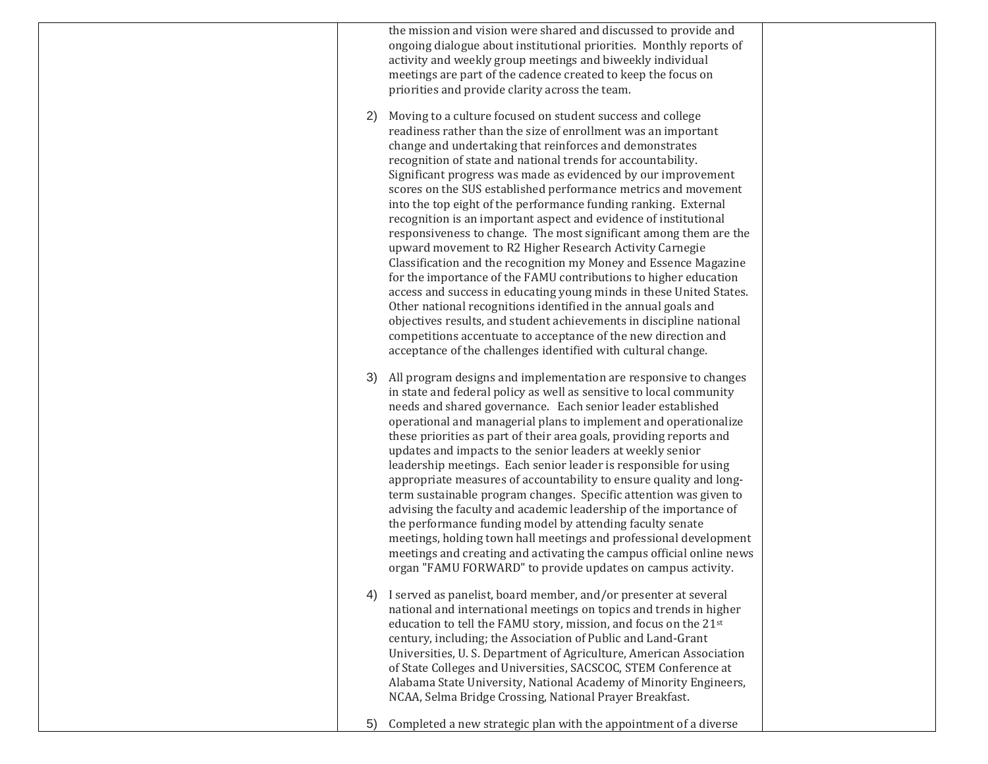the mission and vision were shared and discussed to provide and ongoing dialogue about institutional priorities. Monthly reports of activity and weekly group meetings and biweekly individual meetings are part of the cadence created to keep the focus on priorities and provide clarity across the team.

- 2) Moving to a culture focused on student success and college readiness rather than the size of enrollment was an important change and undertaking that reinforces and demonstrates recognition of state and national trends for accountability. Significant progress was made as evidenced by our improvement scores on the SUS established performance metrics and movement into the top eight of the performance funding ranking. External recognition is an important aspect and evidence of institutional responsiveness to change. The most significant among them are the upward movement to R2 Higher Research Activity Carnegie Classification and the recognition my Money and Essence Magazine for the importance of the FAMU contributions to higher education access and success in educating young minds in these United States. Other national recognitions identified in the annual goals and objectives results, and student achievements in discipline national competitions accentuate to acceptance of the new direction and acceptance of the challenges identified with cultural change.
- 3) All program designs and implementation are responsive to changes in state and federal policy as well as sensitive to local community needs and shared governance. Each senior leader established operational and managerial plans to implement and operationalize these priorities as part of their area goals, providing reports and updates and impacts to the senior leaders at weekly senior leadership meetings. Each senior leader is responsible for using appropriate measures of accountability to ensure quality and longterm sustainable program changes. Specific attention was given to advising the faculty and academic leadership of the importance of the performance funding model by attending faculty senate meetings, holding town hall meetings and professional development meetings and creating and activating the campus official online news organ "FAMU FORWARD" to provide updates on campus activity.
- 4) I served as panelist, board member, and/or presenter at several national and international meetings on topics and trends in higher education to tell the FAMU story, mission, and focus on the 21st century, including; the Association of Public and Land-Grant Universities, U. S. Department of Agriculture, American Association of State Colleges and Universities, SACSCOC, STEM Conference at Alabama State University, National Academy of Minority Engineers, NCAA, Selma Bridge Crossing, National Prayer Breakfast.
- 5) Completed a new strategic plan with the appointment of a diverse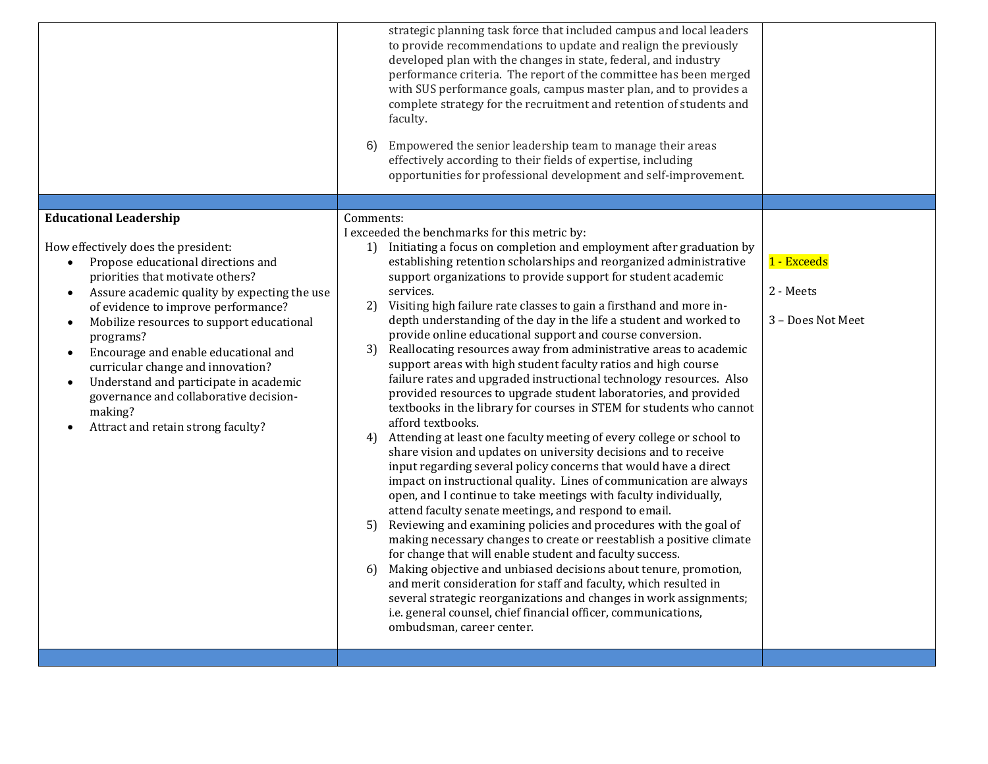|                                                                                                                                                                                                                                                                                                                                                                                                                                                                                                                                      | strategic planning task force that included campus and local leaders<br>to provide recommendations to update and realign the previously<br>developed plan with the changes in state, federal, and industry<br>performance criteria. The report of the committee has been merged<br>with SUS performance goals, campus master plan, and to provides a<br>complete strategy for the recruitment and retention of students and<br>faculty.<br>Empowered the senior leadership team to manage their areas<br>6)<br>effectively according to their fields of expertise, including<br>opportunities for professional development and self-improvement.                                                                                                                                                                                                                                                                                                                                                                                                                                                                                                                                                                                                                                                                                                                                                                                                                                                                                                                                                                                                                                                                                                                                                                                       |                                               |
|--------------------------------------------------------------------------------------------------------------------------------------------------------------------------------------------------------------------------------------------------------------------------------------------------------------------------------------------------------------------------------------------------------------------------------------------------------------------------------------------------------------------------------------|----------------------------------------------------------------------------------------------------------------------------------------------------------------------------------------------------------------------------------------------------------------------------------------------------------------------------------------------------------------------------------------------------------------------------------------------------------------------------------------------------------------------------------------------------------------------------------------------------------------------------------------------------------------------------------------------------------------------------------------------------------------------------------------------------------------------------------------------------------------------------------------------------------------------------------------------------------------------------------------------------------------------------------------------------------------------------------------------------------------------------------------------------------------------------------------------------------------------------------------------------------------------------------------------------------------------------------------------------------------------------------------------------------------------------------------------------------------------------------------------------------------------------------------------------------------------------------------------------------------------------------------------------------------------------------------------------------------------------------------------------------------------------------------------------------------------------------------|-----------------------------------------------|
| <b>Educational Leadership</b>                                                                                                                                                                                                                                                                                                                                                                                                                                                                                                        | Comments:                                                                                                                                                                                                                                                                                                                                                                                                                                                                                                                                                                                                                                                                                                                                                                                                                                                                                                                                                                                                                                                                                                                                                                                                                                                                                                                                                                                                                                                                                                                                                                                                                                                                                                                                                                                                                              |                                               |
| How effectively does the president:<br>Propose educational directions and<br>priorities that motivate others?<br>Assure academic quality by expecting the use<br>$\bullet$<br>of evidence to improve performance?<br>Mobilize resources to support educational<br>$\bullet$<br>programs?<br>Encourage and enable educational and<br>$\bullet$<br>curricular change and innovation?<br>Understand and participate in academic<br>$\bullet$<br>governance and collaborative decision-<br>making?<br>Attract and retain strong faculty? | I exceeded the benchmarks for this metric by:<br>1) Initiating a focus on completion and employment after graduation by<br>establishing retention scholarships and reorganized administrative<br>support organizations to provide support for student academic<br>services.<br>2)<br>Visiting high failure rate classes to gain a firsthand and more in-<br>depth understanding of the day in the life a student and worked to<br>provide online educational support and course conversion.<br>3) Reallocating resources away from administrative areas to academic<br>support areas with high student faculty ratios and high course<br>failure rates and upgraded instructional technology resources. Also<br>provided resources to upgrade student laboratories, and provided<br>textbooks in the library for courses in STEM for students who cannot<br>afford textbooks.<br>Attending at least one faculty meeting of every college or school to<br>4)<br>share vision and updates on university decisions and to receive<br>input regarding several policy concerns that would have a direct<br>impact on instructional quality. Lines of communication are always<br>open, and I continue to take meetings with faculty individually,<br>attend faculty senate meetings, and respond to email.<br>Reviewing and examining policies and procedures with the goal of<br>5)<br>making necessary changes to create or reestablish a positive climate<br>for change that will enable student and faculty success.<br>Making objective and unbiased decisions about tenure, promotion,<br>6)<br>and merit consideration for staff and faculty, which resulted in<br>several strategic reorganizations and changes in work assignments;<br>i.e. general counsel, chief financial officer, communications,<br>ombudsman, career center. | 1 - Exceeds<br>2 - Meets<br>3 - Does Not Meet |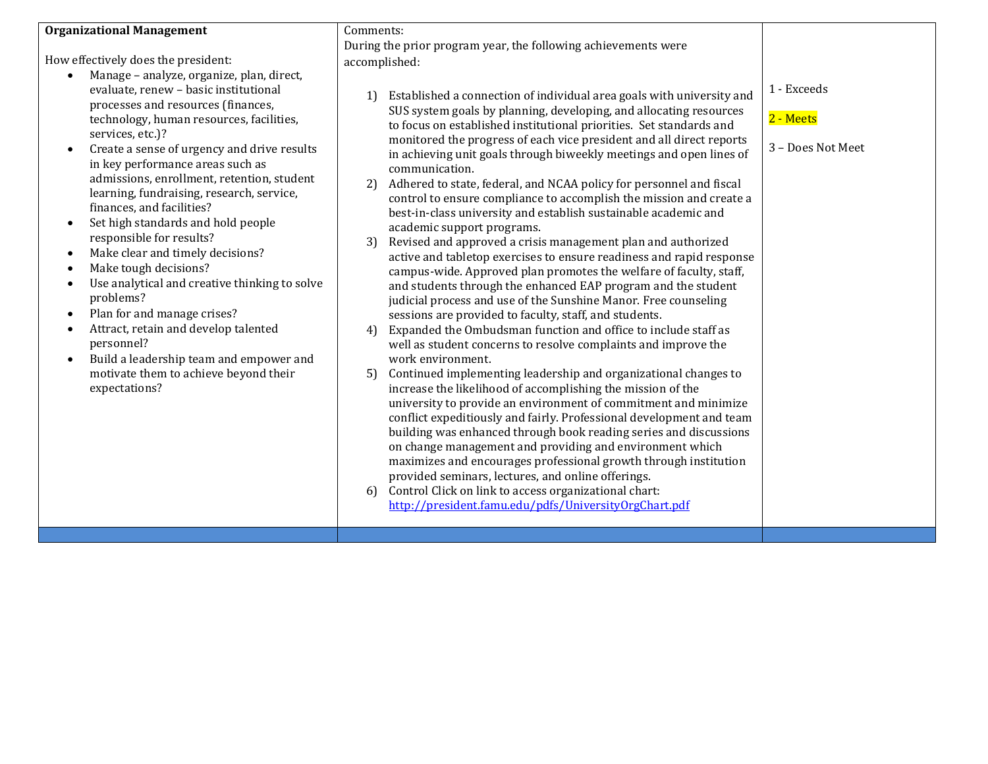## **Organizational Management**

How effectively does the president:

- Manage analyze, organize, plan, direct, evaluate, renew – basic institutional processes and resources (finances, technology, human resources, facilities, services, etc.)?
- Create a sense of urgency and drive results in key performance areas such as admissions, enrollment, retention, student learning, fundraising, research, service, finances, and facilities?
- Set high standards and hold people responsible for results?
- Make clear and timely decisions?
- Make tough decisions?
- Use analytical and creative thinking to solve problems?
- Plan for and manage crises?
- Attract, retain and develop talented personnel?
- Build a leadership team and empower and motivate them to achieve beyond their expectations?

Comments: During the prior program year, the following achievements were accomplished:

- 1) Established a connection of individual area goals with university and SUS system goals by planning, developing, and allocating resources to focus on established institutional priorities. Set standards and monitored the progress of each vice president and all direct reports in achieving unit goals through biweekly meetings and open lines of communication.
- 2) Adhered to state, federal, and NCAA policy for personnel and fiscal control to ensure compliance to accomplish the mission and create a best-in-class university and establish sustainable academic and academic support programs.
- 3) Revised and approved a crisis management plan and authorized active and tabletop exercises to ensure readiness and rapid response campus-wide. Approved plan promotes the welfare of faculty, staff, and students through the enhanced EAP program and the student judicial process and use of the Sunshine Manor. Free counseling sessions are provided to faculty, staff, and students.
- 4) Expanded the Ombudsman function and office to include staff as well as student concerns to resolve complaints and improve the work environment.
- 5) Continued implementing leadership and organizational changes to increase the likelihood of accomplishing the mission of the university to provide an environment of commitment and minimize conflict expeditiously and fairly. Professional development and team building was enhanced through book reading series and discussions on change management and providing and environment which maximizes and encourages professional growth through institution provided seminars, lectures, and online offerings.
- 6) Control Click on link to access organizational chart: <http://president.famu.edu/pdfs/UniversityOrgChart.pdf>

1 - Exceeds

## 2 - Meets

3 – Does Not Meet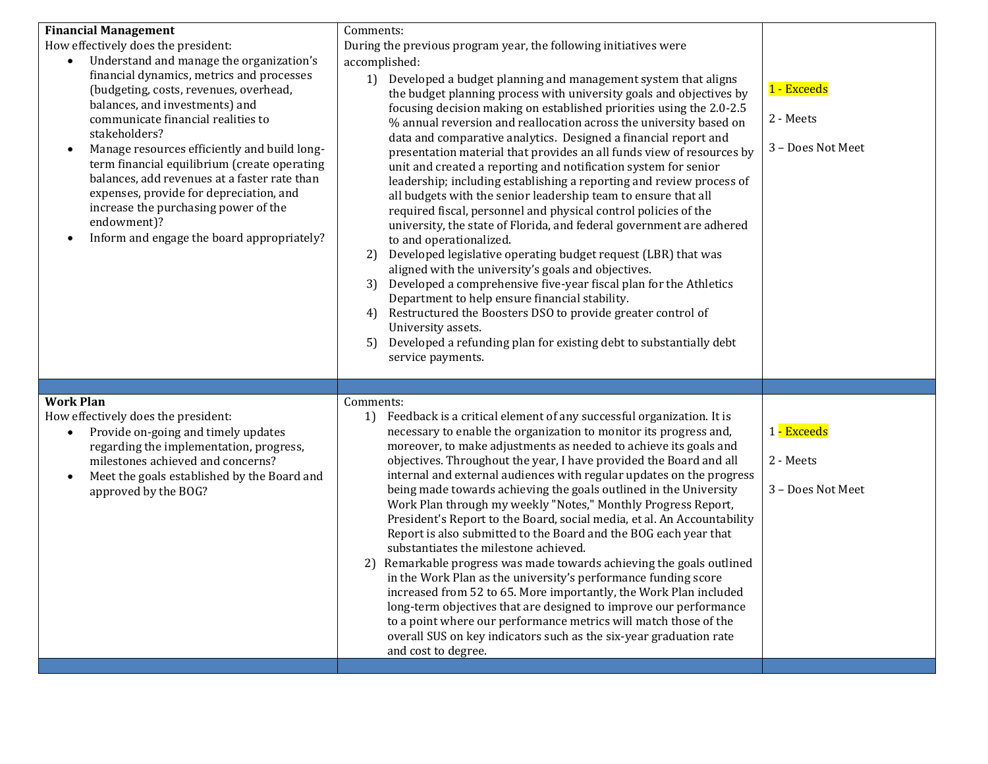| <b>Financial Management</b><br>How effectively does the president:<br>Understand and manage the organization's<br>financial dynamics, metrics and processes<br>(budgeting, costs, revenues, overhead,<br>balances, and investments) and<br>communicate financial realities to<br>stakeholders?<br>Manage resources efficiently and build long-<br>$\bullet$<br>term financial equilibrium (create operating<br>balances, add revenues at a faster rate than<br>expenses, provide for depreciation, and<br>increase the purchasing power of the<br>endowment)?<br>Inform and engage the board appropriately?<br>$\bullet$ | Comments:<br>During the previous program year, the following initiatives were<br>accomplished:<br>1) Developed a budget planning and management system that aligns<br>the budget planning process with university goals and objectives by<br>focusing decision making on established priorities using the 2.0-2.5<br>% annual reversion and reallocation across the university based on<br>data and comparative analytics. Designed a financial report and<br>presentation material that provides an all funds view of resources by<br>unit and created a reporting and notification system for senior<br>leadership; including establishing a reporting and review process of<br>all budgets with the senior leadership team to ensure that all<br>required fiscal, personnel and physical control policies of the<br>university, the state of Florida, and federal government are adhered<br>to and operationalized.<br>Developed legislative operating budget request (LBR) that was<br>2)<br>aligned with the university's goals and objectives.<br>Developed a comprehensive five-year fiscal plan for the Athletics<br>3)<br>Department to help ensure financial stability.<br>Restructured the Boosters DSO to provide greater control of<br>4)<br>University assets.<br>Developed a refunding plan for existing debt to substantially debt<br>5)<br>service payments. | 1 - Exceeds<br>2 - Meets<br>3 - Does Not Meet |
|--------------------------------------------------------------------------------------------------------------------------------------------------------------------------------------------------------------------------------------------------------------------------------------------------------------------------------------------------------------------------------------------------------------------------------------------------------------------------------------------------------------------------------------------------------------------------------------------------------------------------|-------------------------------------------------------------------------------------------------------------------------------------------------------------------------------------------------------------------------------------------------------------------------------------------------------------------------------------------------------------------------------------------------------------------------------------------------------------------------------------------------------------------------------------------------------------------------------------------------------------------------------------------------------------------------------------------------------------------------------------------------------------------------------------------------------------------------------------------------------------------------------------------------------------------------------------------------------------------------------------------------------------------------------------------------------------------------------------------------------------------------------------------------------------------------------------------------------------------------------------------------------------------------------------------------------------------------------------------------------------------------------|-----------------------------------------------|
| <b>Work Plan</b><br>How effectively does the president:<br>Provide on-going and timely updates<br>$\bullet$<br>regarding the implementation, progress,<br>milestones achieved and concerns?<br>Meet the goals established by the Board and<br>$\bullet$<br>approved by the BOG?                                                                                                                                                                                                                                                                                                                                          | Comments:<br>Feedback is a critical element of any successful organization. It is<br>1)<br>necessary to enable the organization to monitor its progress and,<br>moreover, to make adjustments as needed to achieve its goals and<br>objectives. Throughout the year, I have provided the Board and all<br>internal and external audiences with regular updates on the progress<br>being made towards achieving the goals outlined in the University<br>Work Plan through my weekly "Notes," Monthly Progress Report,<br>President's Report to the Board, social media, et al. An Accountability<br>Report is also submitted to the Board and the BOG each year that<br>substantiates the milestone achieved.<br>Remarkable progress was made towards achieving the goals outlined<br>in the Work Plan as the university's performance funding score<br>increased from 52 to 65. More importantly, the Work Plan included<br>long-term objectives that are designed to improve our performance<br>to a point where our performance metrics will match those of the<br>overall SUS on key indicators such as the six-year graduation rate<br>and cost to degree.                                                                                                                                                                                                                | 1 - Exceeds<br>2 - Meets<br>3 - Does Not Meet |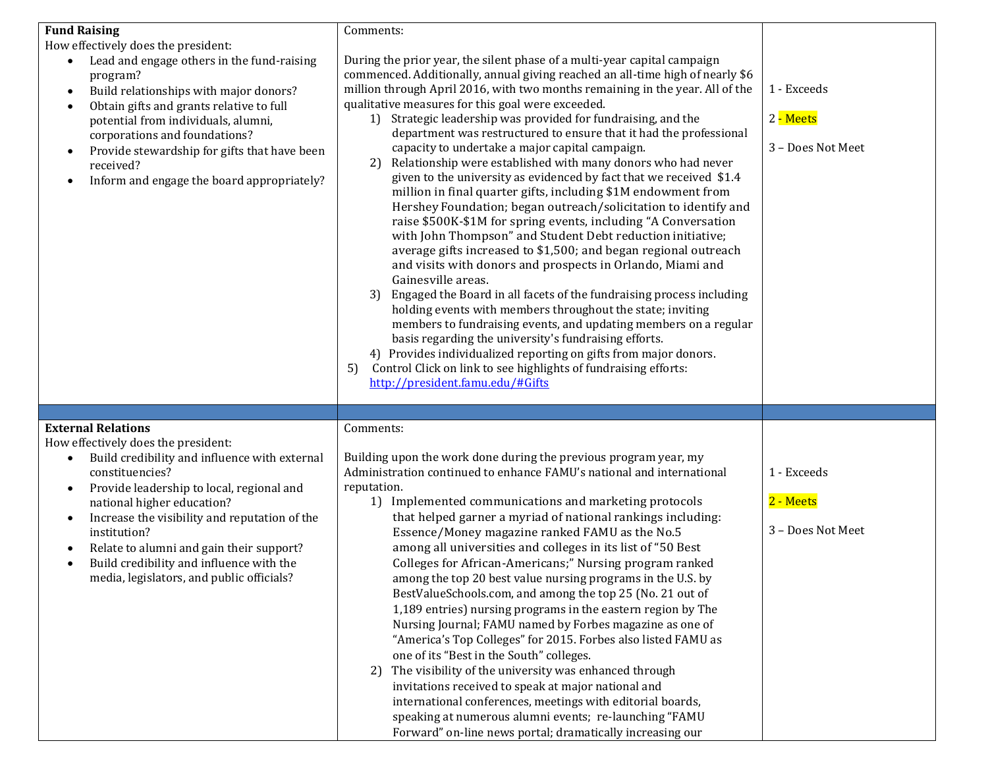| <b>Fund Raising</b><br>How effectively does the president:<br>Lead and engage others in the fund-raising<br>program?<br>Build relationships with major donors?<br>$\bullet$<br>Obtain gifts and grants relative to full<br>potential from individuals, alumni,<br>corporations and foundations?<br>Provide stewardship for gifts that have been<br>received?<br>Inform and engage the board appropriately? | Comments:<br>During the prior year, the silent phase of a multi-year capital campaign<br>commenced. Additionally, annual giving reached an all-time high of nearly \$6<br>million through April 2016, with two months remaining in the year. All of the<br>qualitative measures for this goal were exceeded.<br>1) Strategic leadership was provided for fundraising, and the<br>department was restructured to ensure that it had the professional<br>capacity to undertake a major capital campaign.<br>Relationship were established with many donors who had never<br>2)<br>given to the university as evidenced by fact that we received \$1.4<br>million in final quarter gifts, including \$1M endowment from<br>Hershey Foundation; began outreach/solicitation to identify and<br>raise \$500K-\$1M for spring events, including "A Conversation<br>with John Thompson" and Student Debt reduction initiative;<br>average gifts increased to \$1,500; and began regional outreach<br>and visits with donors and prospects in Orlando, Miami and<br>Gainesville areas.<br>Engaged the Board in all facets of the fundraising process including<br>3)<br>holding events with members throughout the state; inviting<br>members to fundraising events, and updating members on a regular<br>basis regarding the university's fundraising efforts.<br>4) Provides individualized reporting on gifts from major donors.<br>Control Click on link to see highlights of fundraising efforts:<br>5)<br>http://president.famu.edu/#Gifts | 1 - Exceeds<br>2 - Meets<br>3 - Does Not Meet |
|------------------------------------------------------------------------------------------------------------------------------------------------------------------------------------------------------------------------------------------------------------------------------------------------------------------------------------------------------------------------------------------------------------|------------------------------------------------------------------------------------------------------------------------------------------------------------------------------------------------------------------------------------------------------------------------------------------------------------------------------------------------------------------------------------------------------------------------------------------------------------------------------------------------------------------------------------------------------------------------------------------------------------------------------------------------------------------------------------------------------------------------------------------------------------------------------------------------------------------------------------------------------------------------------------------------------------------------------------------------------------------------------------------------------------------------------------------------------------------------------------------------------------------------------------------------------------------------------------------------------------------------------------------------------------------------------------------------------------------------------------------------------------------------------------------------------------------------------------------------------------------------------------------------------------------------------------------|-----------------------------------------------|
| <b>External Relations</b><br>How effectively does the president:                                                                                                                                                                                                                                                                                                                                           | Comments:                                                                                                                                                                                                                                                                                                                                                                                                                                                                                                                                                                                                                                                                                                                                                                                                                                                                                                                                                                                                                                                                                                                                                                                                                                                                                                                                                                                                                                                                                                                                |                                               |
| Build credibility and influence with external<br>constituencies?<br>Provide leadership to local, regional and<br>$\bullet$<br>national higher education?<br>Increase the visibility and reputation of the<br>$\bullet$<br>institution?<br>Relate to alumni and gain their support?<br>Build credibility and influence with the<br>media, legislators, and public officials?                                | Building upon the work done during the previous program year, my<br>Administration continued to enhance FAMU's national and international<br>reputation.<br>1) Implemented communications and marketing protocols<br>that helped garner a myriad of national rankings including:<br>Essence/Money magazine ranked FAMU as the No.5<br>among all universities and colleges in its list of "50 Best<br>Colleges for African-Americans;" Nursing program ranked<br>among the top 20 best value nursing programs in the U.S. by<br>BestValueSchools.com, and among the top 25 (No. 21 out of<br>1,189 entries) nursing programs in the eastern region by The<br>Nursing Journal; FAMU named by Forbes magazine as one of<br>"America's Top Colleges" for 2015. Forbes also listed FAMU as<br>one of its "Best in the South" colleges.<br>The visibility of the university was enhanced through<br>2)<br>invitations received to speak at major national and<br>international conferences, meetings with editorial boards,<br>speaking at numerous alumni events; re-launching "FAMU<br>Forward" on-line news portal; dramatically increasing our                                                                                                                                                                                                                                                                                                                                                                                             | 1 - Exceeds<br>2 - Meets<br>3 - Does Not Meet |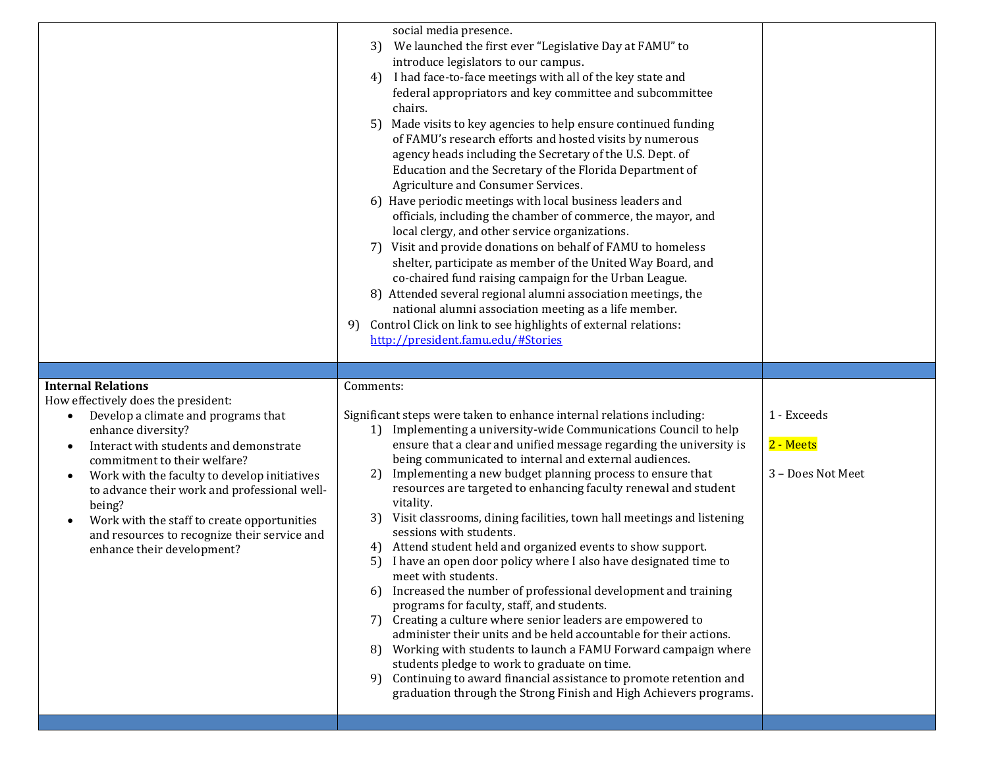|                                                                                                                                                                                                                                                                                                                                                                                                                                                                          | social media presence.<br>We launched the first ever "Legislative Day at FAMU" to<br>3)<br>introduce legislators to our campus.<br>I had face-to-face meetings with all of the key state and<br>4)<br>federal appropriators and key committee and subcommittee<br>chairs.<br>Made visits to key agencies to help ensure continued funding<br>5)<br>of FAMU's research efforts and hosted visits by numerous<br>agency heads including the Secretary of the U.S. Dept. of<br>Education and the Secretary of the Florida Department of<br>Agriculture and Consumer Services.<br>6) Have periodic meetings with local business leaders and<br>officials, including the chamber of commerce, the mayor, and<br>local clergy, and other service organizations.<br>Visit and provide donations on behalf of FAMU to homeless<br>7)<br>shelter, participate as member of the United Way Board, and<br>co-chaired fund raising campaign for the Urban League.<br>8) Attended several regional alumni association meetings, the<br>national alumni association meeting as a life member.<br>Control Click on link to see highlights of external relations:<br>9)<br>http://president.famu.edu/#Stories                                                              |                                               |
|--------------------------------------------------------------------------------------------------------------------------------------------------------------------------------------------------------------------------------------------------------------------------------------------------------------------------------------------------------------------------------------------------------------------------------------------------------------------------|------------------------------------------------------------------------------------------------------------------------------------------------------------------------------------------------------------------------------------------------------------------------------------------------------------------------------------------------------------------------------------------------------------------------------------------------------------------------------------------------------------------------------------------------------------------------------------------------------------------------------------------------------------------------------------------------------------------------------------------------------------------------------------------------------------------------------------------------------------------------------------------------------------------------------------------------------------------------------------------------------------------------------------------------------------------------------------------------------------------------------------------------------------------------------------------------------------------------------------------------------------|-----------------------------------------------|
| <b>Internal Relations</b><br>How effectively does the president:<br>Develop a climate and programs that<br>$\bullet$<br>enhance diversity?<br>Interact with students and demonstrate<br>commitment to their welfare?<br>Work with the faculty to develop initiatives<br>$\bullet$<br>to advance their work and professional well-<br>being?<br>Work with the staff to create opportunities<br>and resources to recognize their service and<br>enhance their development? | Comments:<br>Significant steps were taken to enhance internal relations including:<br>1) Implementing a university-wide Communications Council to help<br>ensure that a clear and unified message regarding the university is<br>being communicated to internal and external audiences.<br>Implementing a new budget planning process to ensure that<br>2)<br>resources are targeted to enhancing faculty renewal and student<br>vitality.<br>Visit classrooms, dining facilities, town hall meetings and listening<br>3)<br>sessions with students.<br>Attend student held and organized events to show support.<br>4)<br>I have an open door policy where I also have designated time to<br>5)<br>meet with students.<br>Increased the number of professional development and training<br>6)<br>programs for faculty, staff, and students.<br>Creating a culture where senior leaders are empowered to<br>7)<br>administer their units and be held accountable for their actions.<br>Working with students to launch a FAMU Forward campaign where<br>81<br>students pledge to work to graduate on time.<br>Continuing to award financial assistance to promote retention and<br>9)<br>graduation through the Strong Finish and High Achievers programs. | 1 - Exceeds<br>2 - Meets<br>3 - Does Not Meet |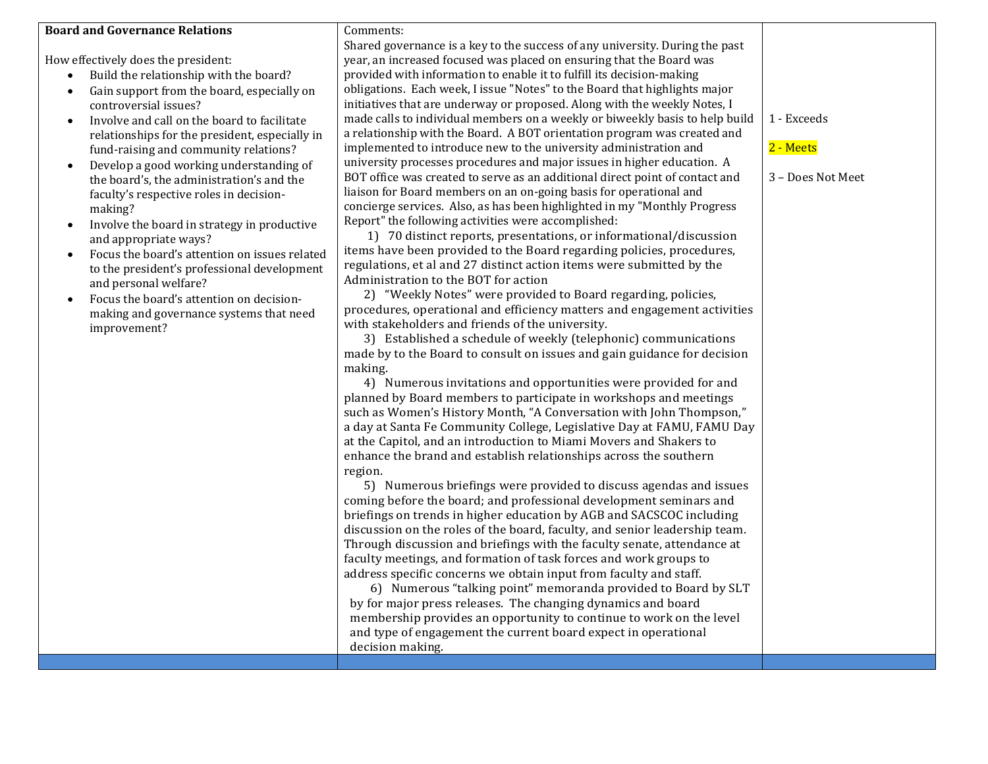## **Board and Governance Relations**

How effectively does the president:

- Build the relationship with the board?
- Gain support from the board, especially on controversial issues?
- Involve and call on the board to facilitate relationships for the president, especially in fund-raising and community relations?
- Develop a good working understanding of the board's, the administration's and the faculty's respective roles in decisionmaking?
- Involve the board in strategy in productive and appropriate ways?
- Focus the board's attention on issues related to the president's professional development and personal welfare?
- Focus the board's attention on decisionmaking and governance systems that need improvement?

Comments: Shared governance is a key to the success of any university. During the past year, an increased focused was placed on ensuring that the Board was provided with information to enable it to fulfill its decision-making obligations. Each week, I issue "Notes" to the Board that highlights major initiatives that are underway or proposed. Along with the weekly Notes, I made calls to individual members on a weekly or biweekly basis to help build a relationship with the Board. A BOT orientation program was created and implemented to introduce new to the university administration and university processes procedures and major issues in higher education. A BOT office was created to serve as an additional direct point of contact and liaison for Board members on an on-going basis for operational and concierge services. Also, as has been highlighted in my "Monthly Progress Report" the following activities were accomplished:

 1) 70 distinct reports, presentations, or informational/discussion items have been provided to the Board regarding policies, procedures, regulations, et al and 27 distinct action items were submitted by the Administration to the BOT for action

 2) "Weekly Notes" were provided to Board regarding, policies, procedures, operational and efficiency matters and engagement activities with stakeholders and friends of the university.

 3) Established a schedule of weekly (telephonic) communications made by to the Board to consult on issues and gain guidance for decision making.

 4) Numerous invitations and opportunities were provided for and planned by Board members to participate in workshops and meetings such as Women's History Month, "A Conversation with John Thompson," a day at Santa Fe Community College, Legislative Day at FAMU, FAMU Day at the Capitol, and an introduction to Miami Movers and Shakers to enhance the brand and establish relationships across the southern region.

 5) Numerous briefings were provided to discuss agendas and issues coming before the board; and professional development seminars and briefings on trends in higher education by AGB and SACSCOC including discussion on the roles of the board, faculty, and senior leadership team. Through discussion and briefings with the faculty senate, attendance at faculty meetings, and formation of task forces and work groups to address specific concerns we obtain input from faculty and staff.

6) Numerous "talking point" memoranda provided to Board by SLT by for major press releases. The changing dynamics and board membership provides an opportunity to continue to work on the level and type of engagement the current board expect in operational decision making.

1 - Exceeds

2 - Meets

3 – Does Not Meet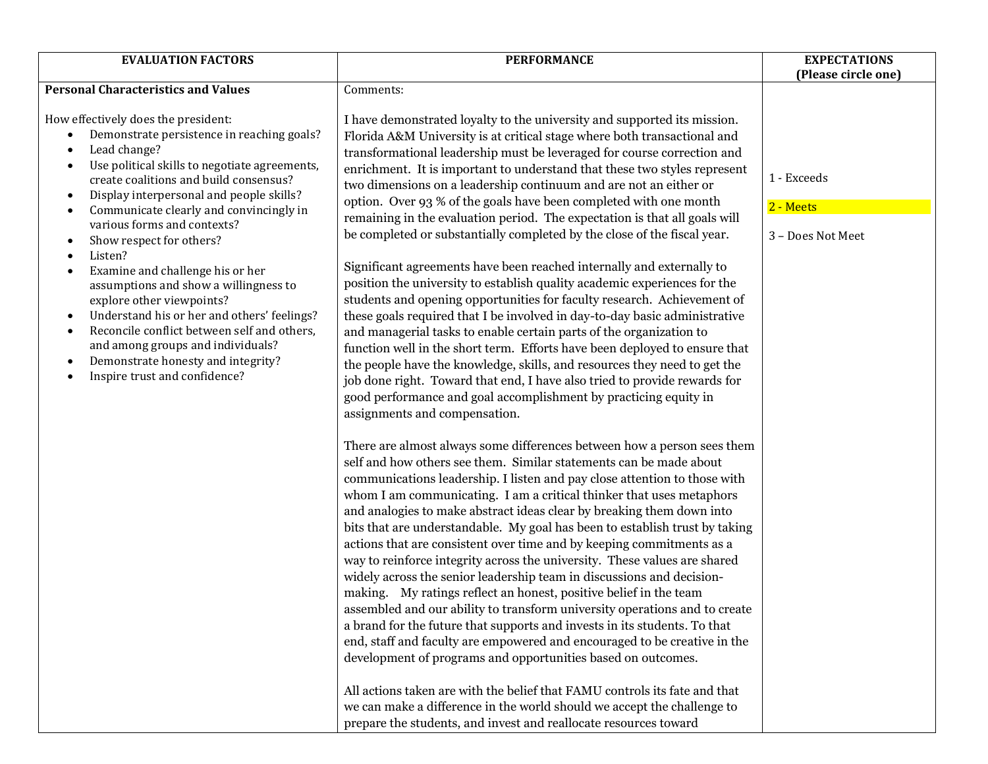| <b>EVALUATION FACTORS</b>                                                                                                                                                                                                                                                                                                                                                                                                                                                                                                                                                                                                                                                                                                                                                                                                                 | <b>PERFORMANCE</b>                                                                                                                                                                                                                                                                                                                                                                                                                                                                                                                                                                                                                                                                                                                                                                                                                                                                                                                                                                                                                                                                                                                                                                                                                                                                                                                                                                                                                                                                                                                                                                                                                                                                                                                                                                                                                                                                                                                                                                                                                                                                                                                                                                                                                                                                                                                                                                                                                                                                                                                                                                                                                                         | <b>EXPECTATIONS</b>                           |
|-------------------------------------------------------------------------------------------------------------------------------------------------------------------------------------------------------------------------------------------------------------------------------------------------------------------------------------------------------------------------------------------------------------------------------------------------------------------------------------------------------------------------------------------------------------------------------------------------------------------------------------------------------------------------------------------------------------------------------------------------------------------------------------------------------------------------------------------|------------------------------------------------------------------------------------------------------------------------------------------------------------------------------------------------------------------------------------------------------------------------------------------------------------------------------------------------------------------------------------------------------------------------------------------------------------------------------------------------------------------------------------------------------------------------------------------------------------------------------------------------------------------------------------------------------------------------------------------------------------------------------------------------------------------------------------------------------------------------------------------------------------------------------------------------------------------------------------------------------------------------------------------------------------------------------------------------------------------------------------------------------------------------------------------------------------------------------------------------------------------------------------------------------------------------------------------------------------------------------------------------------------------------------------------------------------------------------------------------------------------------------------------------------------------------------------------------------------------------------------------------------------------------------------------------------------------------------------------------------------------------------------------------------------------------------------------------------------------------------------------------------------------------------------------------------------------------------------------------------------------------------------------------------------------------------------------------------------------------------------------------------------------------------------------------------------------------------------------------------------------------------------------------------------------------------------------------------------------------------------------------------------------------------------------------------------------------------------------------------------------------------------------------------------------------------------------------------------------------------------------------------------|-----------------------------------------------|
|                                                                                                                                                                                                                                                                                                                                                                                                                                                                                                                                                                                                                                                                                                                                                                                                                                           |                                                                                                                                                                                                                                                                                                                                                                                                                                                                                                                                                                                                                                                                                                                                                                                                                                                                                                                                                                                                                                                                                                                                                                                                                                                                                                                                                                                                                                                                                                                                                                                                                                                                                                                                                                                                                                                                                                                                                                                                                                                                                                                                                                                                                                                                                                                                                                                                                                                                                                                                                                                                                                                            | (Please circle one)                           |
| <b>Personal Characteristics and Values</b>                                                                                                                                                                                                                                                                                                                                                                                                                                                                                                                                                                                                                                                                                                                                                                                                | Comments:                                                                                                                                                                                                                                                                                                                                                                                                                                                                                                                                                                                                                                                                                                                                                                                                                                                                                                                                                                                                                                                                                                                                                                                                                                                                                                                                                                                                                                                                                                                                                                                                                                                                                                                                                                                                                                                                                                                                                                                                                                                                                                                                                                                                                                                                                                                                                                                                                                                                                                                                                                                                                                                  |                                               |
| How effectively does the president:<br>Demonstrate persistence in reaching goals?<br>$\bullet$<br>Lead change?<br>$\bullet$<br>Use political skills to negotiate agreements,<br>$\bullet$<br>create coalitions and build consensus?<br>Display interpersonal and people skills?<br>$\bullet$<br>Communicate clearly and convincingly in<br>$\bullet$<br>various forms and contexts?<br>Show respect for others?<br>$\bullet$<br>Listen?<br>$\bullet$<br>Examine and challenge his or her<br>$\bullet$<br>assumptions and show a willingness to<br>explore other viewpoints?<br>Understand his or her and others' feelings?<br>$\bullet$<br>Reconcile conflict between self and others,<br>$\bullet$<br>and among groups and individuals?<br>Demonstrate honesty and integrity?<br>$\bullet$<br>Inspire trust and confidence?<br>$\bullet$ | I have demonstrated loyalty to the university and supported its mission.<br>Florida A&M University is at critical stage where both transactional and<br>transformational leadership must be leveraged for course correction and<br>enrichment. It is important to understand that these two styles represent<br>two dimensions on a leadership continuum and are not an either or<br>option. Over 93 % of the goals have been completed with one month<br>remaining in the evaluation period. The expectation is that all goals will<br>be completed or substantially completed by the close of the fiscal year.<br>Significant agreements have been reached internally and externally to<br>position the university to establish quality academic experiences for the<br>students and opening opportunities for faculty research. Achievement of<br>these goals required that I be involved in day-to-day basic administrative<br>and managerial tasks to enable certain parts of the organization to<br>function well in the short term. Efforts have been deployed to ensure that<br>the people have the knowledge, skills, and resources they need to get the<br>job done right. Toward that end, I have also tried to provide rewards for<br>good performance and goal accomplishment by practicing equity in<br>assignments and compensation.<br>There are almost always some differences between how a person sees them<br>self and how others see them. Similar statements can be made about<br>communications leadership. I listen and pay close attention to those with<br>whom I am communicating. I am a critical thinker that uses metaphors<br>and analogies to make abstract ideas clear by breaking them down into<br>bits that are understandable. My goal has been to establish trust by taking<br>actions that are consistent over time and by keeping commitments as a<br>way to reinforce integrity across the university. These values are shared<br>widely across the senior leadership team in discussions and decision-<br>making. My ratings reflect an honest, positive belief in the team<br>assembled and our ability to transform university operations and to create<br>a brand for the future that supports and invests in its students. To that<br>end, staff and faculty are empowered and encouraged to be creative in the<br>development of programs and opportunities based on outcomes.<br>All actions taken are with the belief that FAMU controls its fate and that<br>we can make a difference in the world should we accept the challenge to<br>prepare the students, and invest and reallocate resources toward | 1 - Exceeds<br>2 - Meets<br>3 - Does Not Meet |